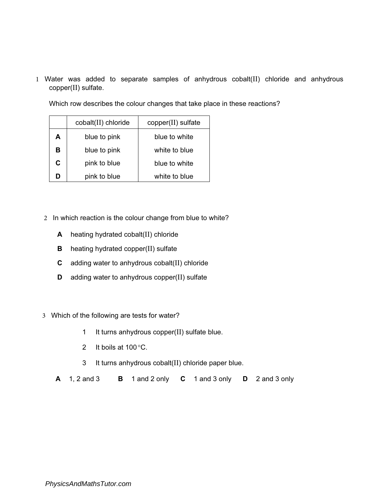1 Water was added to separate samples of anhydrous cobalt(II) chloride and anhydrous copper(II) sulfate.

Which row describes the colour changes that take place in these reactions?

|   | cobalt(II) chloride | copper(II) sulfate |
|---|---------------------|--------------------|
| A | blue to pink        | blue to white      |
| в | blue to pink        | white to blue      |
| C | pink to blue        | blue to white      |
| n | pink to blue        | white to blue      |

- 2 In which reaction is the colour change from blue to white?
	- A heating hydrated cobalt(II) chloride
	- **B** heating hydrated copper(II) sulfate
	- C adding water to anhydrous cobalt(II) chloride
	- D adding water to anhydrous copper(II) sulfate
- 3 Which of the following are tests for water?
	- 1 It turns anhydrous copper(II) sulfate blue.
	- 2 It boils at 100*°*C.
	- 3 It turns anhydrous cobalt(II) chloride paper blue.
	- A 1, 2 and 3 B 1 and 2 only C 1 and 3 only D 2 and 3 only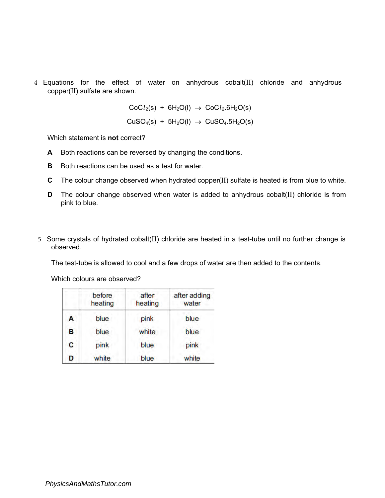4 Equations for the effect of water on anhydrous cobalt(II) chloride and anhydrous copper(II) sulfate are shown.

> $CoCl<sub>2</sub>(s) + 6H<sub>2</sub>O(l) \rightarrow CoCl<sub>2</sub>.6H<sub>2</sub>O(s)$  $CuSO<sub>4</sub>(s) + 5H<sub>2</sub>O(l) \rightarrow CuSO<sub>4</sub>.5H<sub>2</sub>O(s)$

Which statement is **not** correct?

- A Both reactions can be reversed by changing the conditions.
- **B** Both reactions can be used as a test for water.
- C The colour change observed when hydrated copper(II) sulfate is heated is from blue to white.
- D The colour change observed when water is added to anhydrous cobalt(II) chloride is from pink to blue.
- 5 Some crystals of hydrated cobalt(II) chloride are heated in a test-tube until no further change is observed.

The test-tube is allowed to cool and a few drops of water are then added to the contents.

Which colours are observed?

|   | before<br>heating | after<br>heating | after adding<br>water |
|---|-------------------|------------------|-----------------------|
| A | blue              | pink             | blue                  |
| B | blue              | white            | blue                  |
| C | pink              | blue             | pink                  |
| D | white             | blue             | white                 |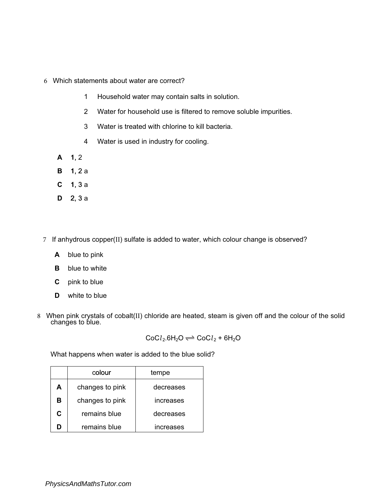- 6 Which statements about water are correct?
	- 1 Household water may contain salts in solution.
	- 2 Water for household use is filtered to remove soluble impurities.
	- 3 Water is treated with chlorine to kill bacteria.
	- 4 Water is used in industry for cooling.
	- $A$  1, 2
	- **B** 1, 2 a
	- $C$  1, 3 a
	- D 2, 3 a
- 7 If anhydrous copper(II) sulfate is added to water, which colour change is observed?
	- A blue to pink
	- **B** blue to white
	- C pink to blue
	- **D** white to blue
- 8 When pink crystals of cobalt(II) chloride are heated, steam is given off and the colour of the solid changes to blue.

 $CoCl<sub>2</sub>.6H<sub>2</sub>O \rightleftharpoons CoCl<sub>2</sub> + 6H<sub>2</sub>O$ 

What happens when water is added to the blue solid?

|   | colour          | tempe            |
|---|-----------------|------------------|
| А | changes to pink | decreases        |
| в | changes to pink | increases        |
| C | remains blue    | decreases        |
| n | remains blue    | <b>increases</b> |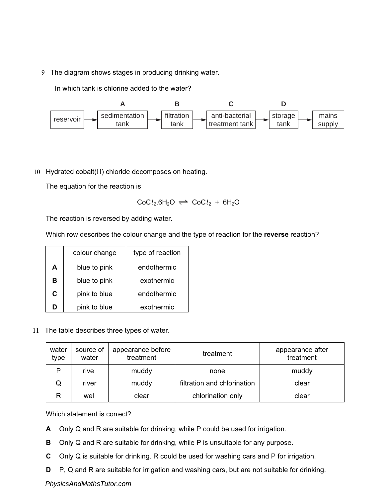9 The diagram shows stages in producing drinking water.

In which tank is chlorine added to the water?



10 Hydrated cobalt(II) chloride decomposes on heating.

The equation for the reaction is

$$
CoCl2.6H2O \rightleftharpoons CoCl2 + 6H2O
$$

The reaction is reversed by adding water.

Which row describes the colour change and the type of reaction for the reverse reaction?

|   | colour change | type of reaction |
|---|---------------|------------------|
| А | blue to pink  | endothermic      |
| в | blue to pink  | exothermic       |
| C | pink to blue  | endothermic      |
|   | pink to blue  | exothermic       |

11 The table describes three types of water.

| water<br>type | source of<br>water | appearance before<br>treatment | treatment                   | appearance after<br>treatment |
|---------------|--------------------|--------------------------------|-----------------------------|-------------------------------|
| P             | rive               | muddy                          | none                        | muddy                         |
| Q             | river              | muddy                          | filtration and chlorination | clear                         |
| R             | wel                | clear                          | chlorination only           | clear                         |

Which statement is correct?

- A Only Q and R are suitable for drinking, while P could be used for irrigation.
- B Only Q and R are suitable for drinking, while P is unsuitable for any purpose.
- C Only Q is suitable for drinking. R could be used for washing cars and P for irrigation.
- D P, Q and R are suitable for irrigation and washing cars, but are not suitable for drinking.

## *PhysicsAndMathsTutor.com*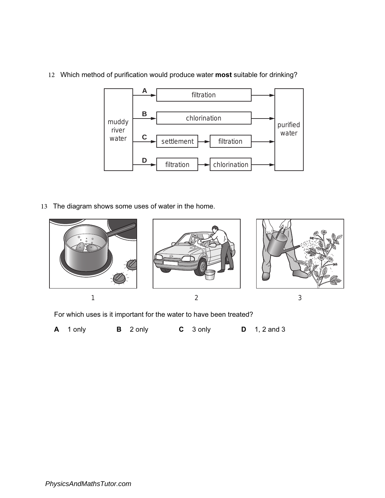12 Which method of purification would produce water most suitable for drinking?



13 The diagram shows some uses of water in the home.



For which uses is it important for the water to have been treated?

A 1 only B 2 only C 3 only D 1, 2 and 3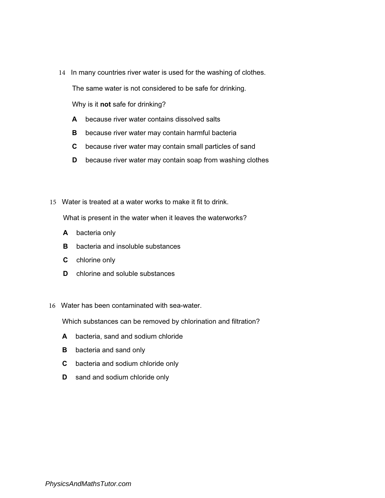14 In many countries river water is used for the washing of clothes.

The same water is not considered to be safe for drinking.

Why is it not safe for drinking?

- A because river water contains dissolved salts
- **B** because river water may contain harmful bacteria
- C because river water may contain small particles of sand
- **D** because river water may contain soap from washing clothes
- 15 Water is treated at a water works to make it fit to drink.

What is present in the water when it leaves the waterworks?

- A bacteria only
- **B** bacteria and insoluble substances
- C chlorine only
- D chlorine and soluble substances
- 16 Water has been contaminated with sea-water.

Which substances can be removed by chlorination and filtration?

- A bacteria, sand and sodium chloride
- **B** bacteria and sand only
- C bacteria and sodium chloride only
- **D** sand and sodium chloride only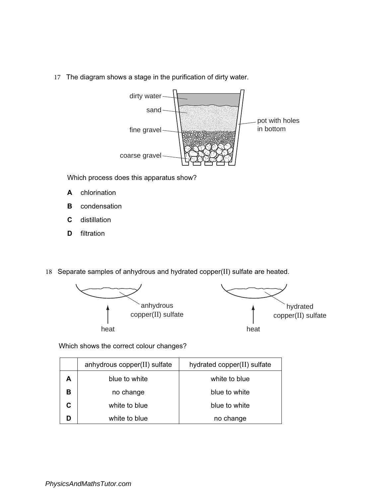17 The diagram shows a stage in the purification of dirty water.



Which process does this apparatus show?

- A chlorination
- **B** condensation
- C distillation
- **D** filtration
- 18 Separate samples of anhydrous and hydrated copper(II) sulfate are heated.



Which shows the correct colour changes?

|   | anhydrous copper(II) sulfate | hydrated copper(II) sulfate |
|---|------------------------------|-----------------------------|
| А | blue to white                | white to blue               |
| в | no change                    | blue to white               |
|   | white to blue                | blue to white               |
|   | white to blue                | no change                   |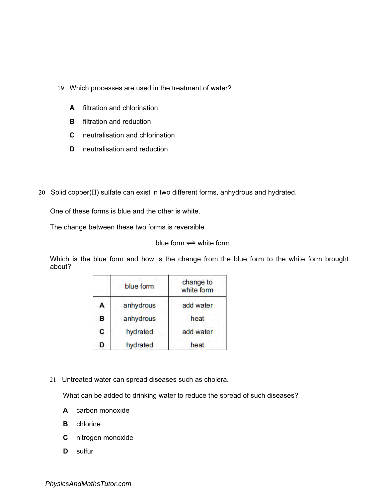- 19 Which processes are used in the treatment of water?
	- A filtration and chlorination
	- **B** filtration and reduction
	- C neutralisation and chlorination
	- D neutralisation and reduction
- 20 Solid copper(II) sulfate can exist in two different forms, anhydrous and hydrated.

One of these forms is blue and the other is white.

The change between these two forms is reversible.

blue form  $\rightleftharpoons$  white form

Which is the blue form and how is the change from the blue form to the white form brought about?

|   | blue form | change to<br>white form |
|---|-----------|-------------------------|
| А | anhydrous | add water               |
| в | anhydrous | heat                    |
| C | hydrated  | add water               |
| D | hydrated  | heat                    |

21 Untreated water can spread diseases such as cholera.

What can be added to drinking water to reduce the spread of such diseases?

- A carbon monoxide
- **B** chlorine
- C nitrogen monoxide
- D sulfur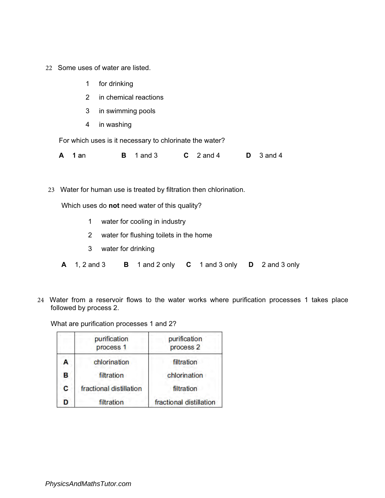- 22 Some uses of water are listed.
	- 1 for drinking
	- 2 in chemical reactions
	- 3 in swimming pools
	- 4 in washing

For which uses is it necessary to chlorinate the water?

**A** 1 an **B** 1 and 3 **C** 2 and 4 **D** 3 and 4

23 Water for human use is treated by filtration then chlorination.

Which uses do not need water of this quality?

- 1 water for cooling in industry
- 2 water for flushing toilets in the home
- 3 water for drinking
- A 1, 2 and 3 B 1 and 2 only C 1 and 3 only D 2 and 3 only
- 24 Water from a reservoir flows to the water works where purification processes 1 takes place followed by process 2.

What are purification processes 1 and 2?

|   | purification<br>process <sub>1</sub> | purification<br>process <sub>2</sub> |
|---|--------------------------------------|--------------------------------------|
| А | chlorination                         | filtration                           |
| В | filtration                           | chlorination                         |
| C | fractional distillation              | filtration                           |
| Ď | filtration                           | fractional distillation              |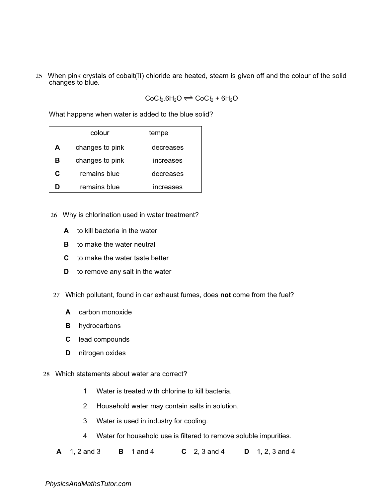25 When pink crystals of cobalt(II) chloride are heated, steam is given off and the colour of the solid changes to blue.

 $CoCl<sub>2</sub>.6H<sub>2</sub>O \rightleftharpoons CoCl<sub>2</sub> + 6H<sub>2</sub>O$ 

What happens when water is added to the blue solid?

|   | colour          | tempe     |
|---|-----------------|-----------|
| А | changes to pink | decreases |
| в | changes to pink | increases |
| C | remains blue    | decreases |
| Ŋ | remains blue    | increases |

- 26 Why is chlorination used in water treatment?
	- A to kill bacteria in the water
	- **B** to make the water neutral
	- C to make the water taste better
	- **D** to remove any salt in the water
- 27 Which pollutant, found in car exhaust fumes, does not come from the fuel?
	- A carbon monoxide
	- **B** hydrocarbons
	- C lead compounds
	- D nitrogen oxides
- 28 Which statements about water are correct?
	- Water is treated with chlorine to kill bacteria. 1
	- Household water may contain salts in solution. 2
	- Water is used in industry for cooling. 3
	- Water for household use is filtered to remove soluble impurities. 4
	- $A = 1.2$  and 3 **B** 1 and 4 **C** 2, 3 and 4 **D** 1, 2, 3 and 4